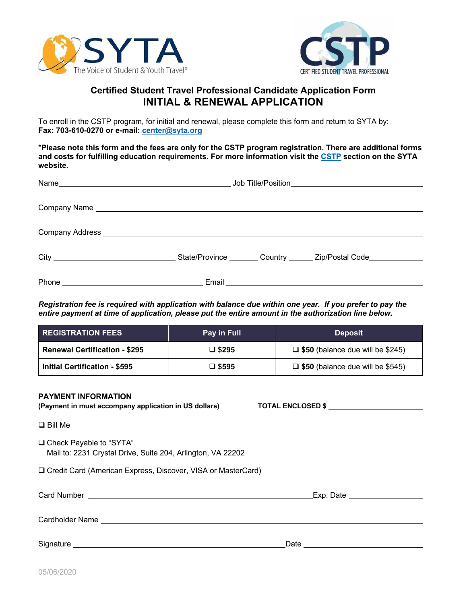



## **Certified Student Travel Professional Candidate Application Form INITIAL & RENEWAL APPLICATION**

To enroll in the CSTP program, for initial and renewal, please complete this form and return to SYTA by: **Fax: 703-610-0270 or e-mail: center@syta.org**

\***Please note this form and the fees are only for the CSTP program registration. There are additional forms and costs for fulfilling education requirements. For more information visit the CSTP section on the SYTA website.**

| State/Province Country ______ Zip/Postal Code |
|-----------------------------------------------|
|                                               |

*Registration fee is required with application with balance due within one year. If you prefer to pay the entire payment at time of application, please put the entire amount in the authorization line below.*

| <b>REGISTRATION FEES</b>             | Pay in Full     | <b>Deposit</b>                          |
|--------------------------------------|-----------------|-----------------------------------------|
| <b>Renewal Certification - \$295</b> | $\square$ \$295 | $\Box$ \$50 (balance due will be \$245) |
| <b>Initial Certification - \$595</b> | $\square$ \$595 | $\Box$ \$50 (balance due will be \$545) |

## **PAYMENT INFORMATION**

**(Payment in must accompany application in US dollars) TOTAL ENCLOSED \$**

 $\Box$  Bill Me

□ Check Payable to "SYTA" Mail to: 2231 Crystal Drive, Suite 204, Arlington, VA 22202

□ Credit Card (American Express, Discover, VISA or MasterCard)

| Card Number            | Exp. Date |  |  |
|------------------------|-----------|--|--|
|                        |           |  |  |
| <b>Cardholder Name</b> |           |  |  |
|                        |           |  |  |
| Signature              | Date      |  |  |